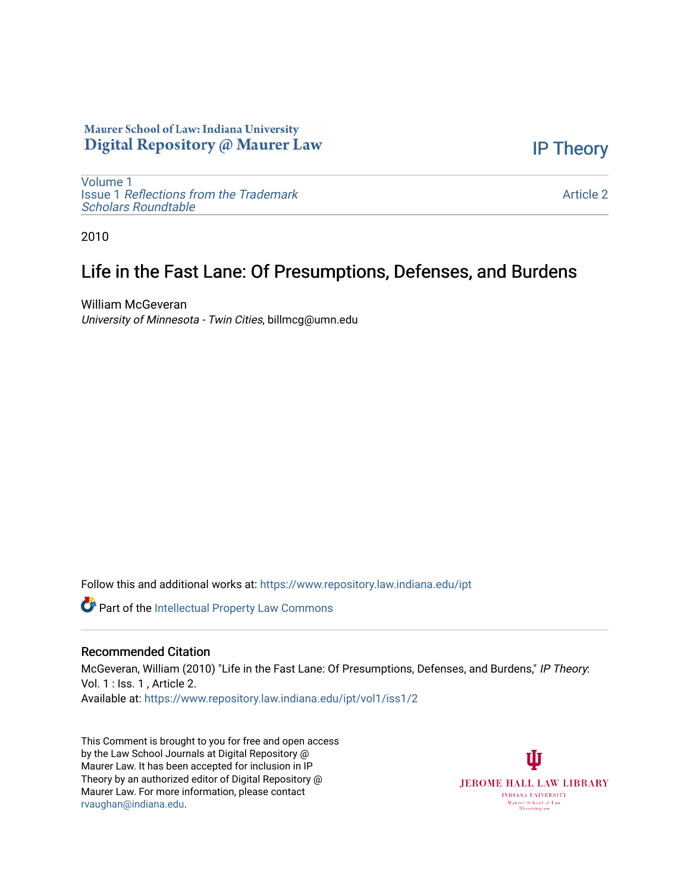## Maurer School of Law: Indiana University Digital Repository @ Maurer Law

[IP Theory](https://www.repository.law.indiana.edu/ipt) 

[Volume 1](https://www.repository.law.indiana.edu/ipt/vol1) Issue 1 [Reflections from the Trademark](https://www.repository.law.indiana.edu/ipt/vol1/iss1) [Scholars Roundtable](https://www.repository.law.indiana.edu/ipt/vol1/iss1) 

[Article 2](https://www.repository.law.indiana.edu/ipt/vol1/iss1/2) 

2010

## Life in the Fast Lane: Of Presumptions, Defenses, and Burdens

William McGeveran University of Minnesota - Twin Cities, billmcg@umn.edu

Follow this and additional works at: [https://www.repository.law.indiana.edu/ipt](https://www.repository.law.indiana.edu/ipt?utm_source=www.repository.law.indiana.edu%2Fipt%2Fvol1%2Fiss1%2F2&utm_medium=PDF&utm_campaign=PDFCoverPages) 

Part of the [Intellectual Property Law Commons](http://network.bepress.com/hgg/discipline/896?utm_source=www.repository.law.indiana.edu%2Fipt%2Fvol1%2Fiss1%2F2&utm_medium=PDF&utm_campaign=PDFCoverPages) 

## Recommended Citation

McGeveran, William (2010) "Life in the Fast Lane: Of Presumptions, Defenses, and Burdens," IP Theory: Vol. 1 : Iss. 1 , Article 2. Available at: [https://www.repository.law.indiana.edu/ipt/vol1/iss1/2](https://www.repository.law.indiana.edu/ipt/vol1/iss1/2?utm_source=www.repository.law.indiana.edu%2Fipt%2Fvol1%2Fiss1%2F2&utm_medium=PDF&utm_campaign=PDFCoverPages) 

This Comment is brought to you for free and open access by the Law School Journals at Digital Repository @ Maurer Law. It has been accepted for inclusion in IP Theory by an authorized editor of Digital Repository @ Maurer Law. For more information, please contact [rvaughan@indiana.edu.](mailto:rvaughan@indiana.edu)

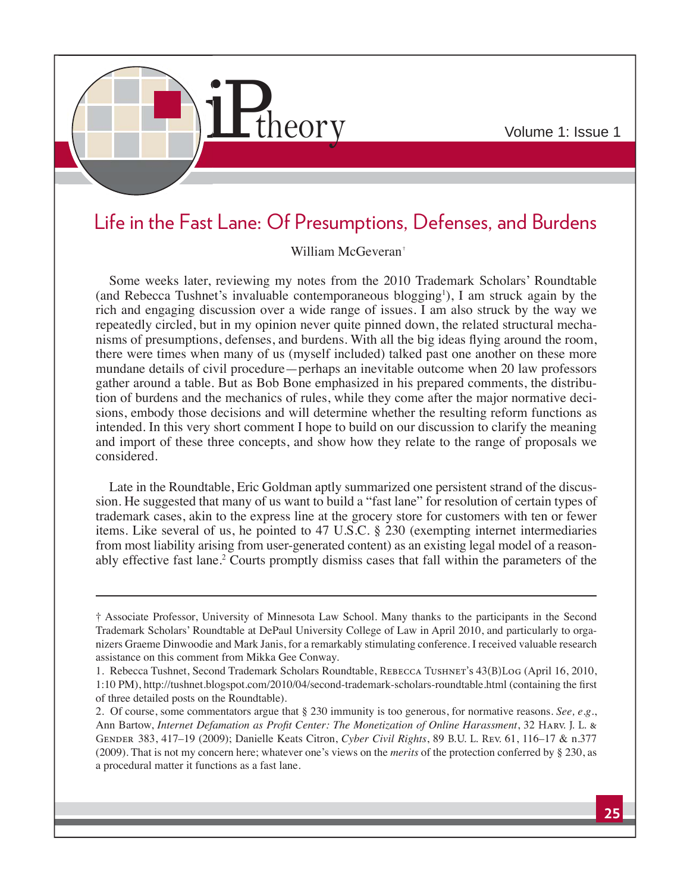

## Life in the Fast Lane: Of Presumptions, Defenses, and Burdens

William McGeveran<sup>†</sup>

Some weeks later, reviewing my notes from the 2010 Trademark Scholars' Roundtable (and Rebecca Tushnet's invaluable contemporaneous blogging<sup>1</sup>), I am struck again by the rich and engaging discussion over a wide range of issues. I am also struck by the way we repeatedly circled, but in my opinion never quite pinned down, the related structural mechanisms of presumptions, defenses, and burdens. With all the big ideas flying around the room, there were times when many of us (myself included) talked past one another on these more mundane details of civil procedure—perhaps an inevitable outcome when 20 law professors gather around a table. But as Bob Bone emphasized in his prepared comments, the distribution of burdens and the mechanics of rules, while they come after the major normative decisions, embody those decisions and will determine whether the resulting reform functions as intended. In this very short comment I hope to build on our discussion to clarify the meaning and import of these three concepts, and show how they relate to the range of proposals we considered.

Late in the Roundtable, Eric Goldman aptly summarized one persistent strand of the discussion. He suggested that many of us want to build a "fast lane" for resolution of certain types of trademark cases, akin to the express line at the grocery store for customers with ten or fewer items. Like several of us, he pointed to 47 U.S.C. § 230 (exempting internet intermediaries from most liability arising from user-generated content) as an existing legal model of a reasonably effective fast lane.<sup>2</sup> Courts promptly dismiss cases that fall within the parameters of the

<sup>†</sup> Associate Professor, University of Minnesota Law School. Many thanks to the participants in the Second Trademark Scholars' Roundtable at DePaul University College of Law in April 2010, and particularly to organizers Graeme Dinwoodie and Mark Janis, for a remarkably stimulating conference. I received valuable research assistance on this comment from Mikka Gee Conway.

<sup>1.</sup> Rebecca Tushnet, Second Trademark Scholars Roundtable, Rebecca Tushnet's 43(B)Log (April 16, 2010, 1:10 PM), http://tushnet.blogspot.com/2010/04/second-trademark-scholars-roundtable.html (containing the first of three detailed posts on the Roundtable).

<sup>2.</sup> Of course, some commentators argue that § 230 immunity is too generous, for normative reasons. *See, e.g*., Ann Bartow, *Internet Defamation as Profit Center: The Monetization of Online Harassment*, 32 HARV. J. L. & GENDER 383, 417–19 (2009); Danielle Keats Citron, *Cyber Civil Rights*, 89 B.U. L. Rev. 61, 116–17 & n.377 (2009). That is not my concern here; whatever one's views on the *merits* of the protection conferred by § 230, as a procedural matter it functions as a fast lane.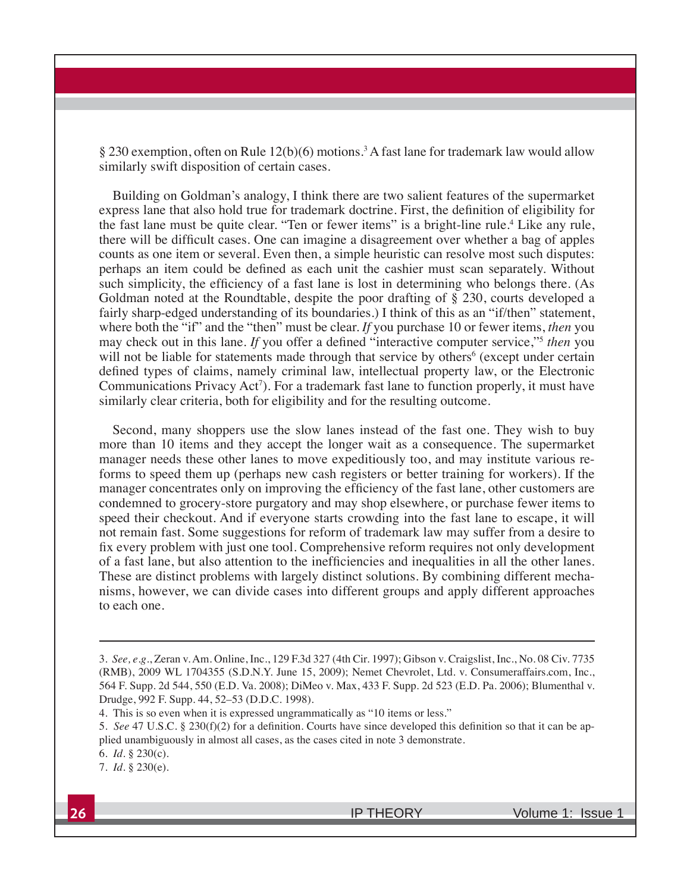§ 230 exemption, often on Rule 12(b)(6) motions.<sup>3</sup> A fast lane for trademark law would allow similarly swift disposition of certain cases.

Building on Goldman's analogy, I think there are two salient features of the supermarket express lane that also hold true for trademark doctrine. First, the definition of eligibility for the fast lane must be quite clear. "Ten or fewer items" is a bright-line rule.<sup>4</sup> Like any rule, there will be difficult cases. One can imagine a disagreement over whether a bag of apples counts as one item or several. Even then, a simple heuristic can resolve most such disputes: perhaps an item could be defined as each unit the cashier must scan separately. Without such simplicity, the efficiency of a fast lane is lost in determining who belongs there. (As Goldman noted at the Roundtable, despite the poor drafting of § 230, courts developed a fairly sharp-edged understanding of its boundaries.) I think of this as an "if/then" statement, where both the "if" and the "then" must be clear. *If* you purchase 10 or fewer items, *then* you may check out in this lane. *If* you offer a defined "interactive computer service,"<sup>5</sup> *then* you will not be liable for statements made through that service by others<sup>6</sup> (except under certain defined types of claims, namely criminal law, intellectual property law, or the Electronic Communications Privacy Act<sup>7</sup>). For a trademark fast lane to function properly, it must have similarly clear criteria, both for eligibility and for the resulting outcome.

Second, many shoppers use the slow lanes instead of the fast one. They wish to buy more than 10 items and they accept the longer wait as a consequence. The supermarket manager needs these other lanes to move expeditiously too, and may institute various reforms to speed them up (perhaps new cash registers or better training for workers). If the manager concentrates only on improving the efficiency of the fast lane, other customers are condemned to grocery-store purgatory and may shop elsewhere, or purchase fewer items to speed their checkout. And if everyone starts crowding into the fast lane to escape, it will not remain fast. Some suggestions for reform of trademark law may suffer from a desire to fix every problem with just one tool. Comprehensive reform requires not only development of a fast lane, but also attention to the inefficiencies and inequalities in all the other lanes. These are distinct problems with largely distinct solutions. By combining different mechanisms, however, we can divide cases into different groups and apply different approaches to each one.

<sup>3.</sup> *See, e.g.*, Zeran v. Am. Online, Inc., 129 F.3d 327 (4th Cir. 1997); Gibson v. Craigslist, Inc., No. 08 Civ. 7735 (RMB), 2009 WL 1704355 (S.D.N.Y. June 15, 2009); Nemet Chevrolet, Ltd. v. Consumeraffairs.com, Inc., 564 F. Supp. 2d 544, 550 (E.D. Va. 2008); DiMeo v. Max, 433 F. Supp. 2d 523 (E.D. Pa. 2006); Blumenthal v. Drudge, 992 F. Supp. 44, 52–53 (D.D.C. 1998).

<sup>4.</sup> This is so even when it is expressed ungrammatically as "10 items or less."

<sup>5.</sup> *See* 47 U.S.C. § 230(f)(2) for a definition. Courts have since developed this definition so that it can be applied unambiguously in almost all cases, as the cases cited in note 3 demonstrate.

<sup>6.</sup> *Id*. § 230(c).

<sup>7.</sup> *Id*. § 230(e).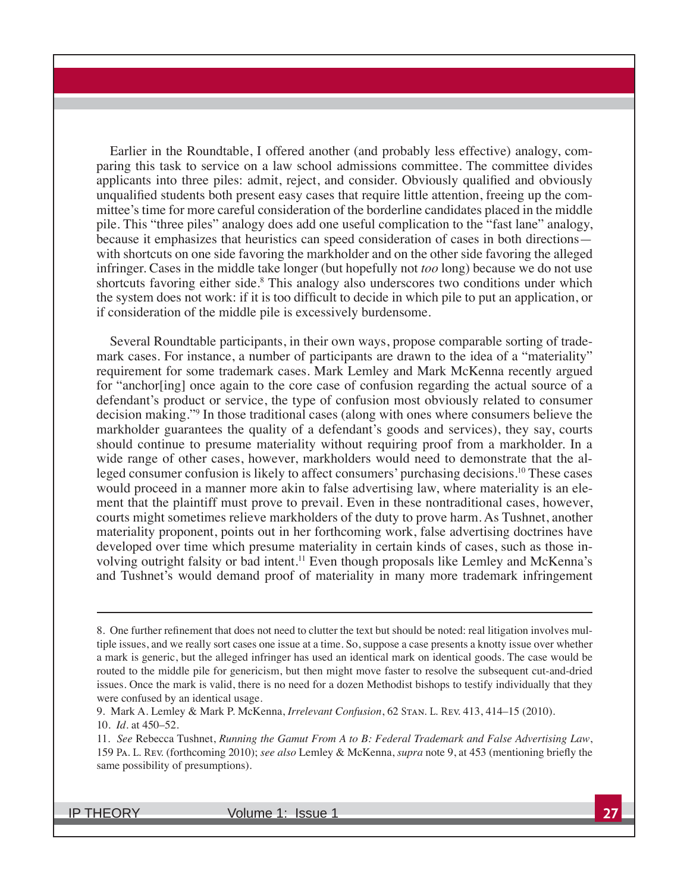Earlier in the Roundtable, I offered another (and probably less effective) analogy, comparing this task to service on a law school admissions committee. The committee divides applicants into three piles: admit, reject, and consider. Obviously qualified and obviously unqualified students both present easy cases that require little attention, freeing up the committee's time for more careful consideration of the borderline candidates placed in the middle pile. This "three piles" analogy does add one useful complication to the "fast lane" analogy, because it emphasizes that heuristics can speed consideration of cases in both directions with shortcuts on one side favoring the markholder and on the other side favoring the alleged infringer. Cases in the middle take longer (but hopefully not *too* long) because we do not use shortcuts favoring either side.<sup>8</sup> This analogy also underscores two conditions under which the system does not work: if it is too difficult to decide in which pile to put an application, or if consideration of the middle pile is excessively burdensome.

Several Roundtable participants, in their own ways, propose comparable sorting of trademark cases. For instance, a number of participants are drawn to the idea of a "materiality" requirement for some trademark cases. Mark Lemley and Mark McKenna recently argued for "anchor[ing] once again to the core case of confusion regarding the actual source of a defendant's product or service, the type of confusion most obviously related to consumer decision making."9 In those traditional cases (along with ones where consumers believe the markholder guarantees the quality of a defendant's goods and services), they say, courts should continue to presume materiality without requiring proof from a markholder. In a wide range of other cases, however, markholders would need to demonstrate that the alleged consumer confusion is likely to affect consumers' purchasing decisions.10 These cases would proceed in a manner more akin to false advertising law, where materiality is an element that the plaintiff must prove to prevail. Even in these nontraditional cases, however, courts might sometimes relieve markholders of the duty to prove harm. As Tushnet, another materiality proponent, points out in her forthcoming work, false advertising doctrines have developed over time which presume materiality in certain kinds of cases, such as those involving outright falsity or bad intent.<sup>11</sup> Even though proposals like Lemley and McKenna's and Tushnet's would demand proof of materiality in many more trademark infringement

<sup>8.</sup> One further refinement that does not need to clutter the text but should be noted: real litigation involves multiple issues, and we really sort cases one issue at a time. So, suppose a case presents a knotty issue over whether a mark is generic, but the alleged infringer has used an identical mark on identical goods. The case would be routed to the middle pile for genericism, but then might move faster to resolve the subsequent cut-and-dried issues. Once the mark is valid, there is no need for a dozen Methodist bishops to testify individually that they were confused by an identical usage.

<sup>9.</sup> Mark A. Lemley & Mark P. McKenna, *Irrelevant Confusion*, 62 Stan. L. Rev. 413, 414–15 (2010). 10. *Id*. at 450–52.

<sup>11.</sup> See Rebecca Tushnet, *Running the Gamut From A to B: Federal Trademark and False Advertising Law*, 159 Pa. L. Rev. (forthcoming 2010); *see also* Lemley & McKenna, *supra* note 9, at 453 (mentioning briefly the same possibility of presumptions).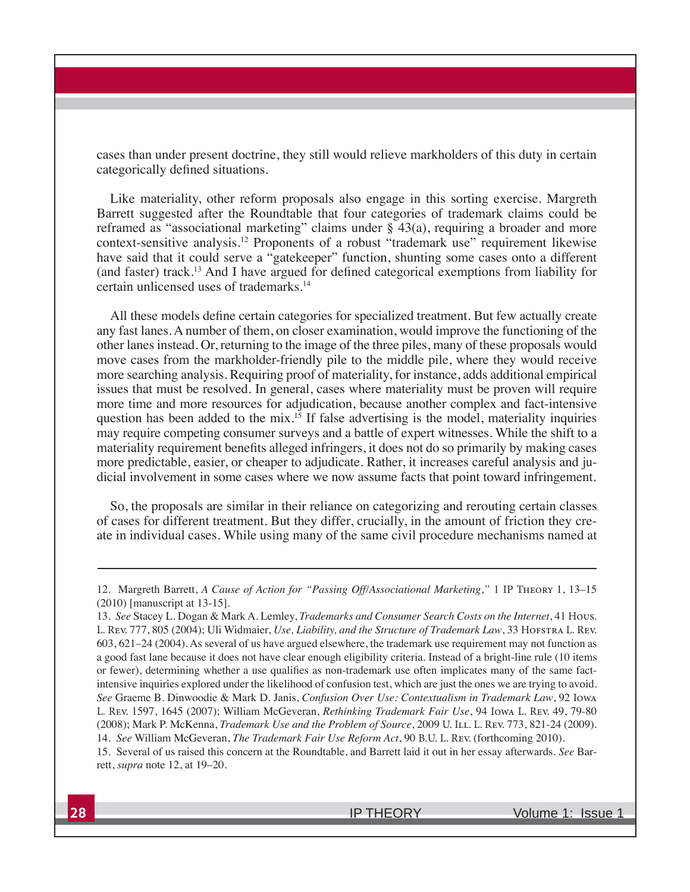cases than under present doctrine, they still would relieve markholders of this duty in certain categorically defined situations.

Like materiality, other reform proposals also engage in this sorting exercise. Margreth Barrett suggested after the Roundtable that four categories of trademark claims could be reframed as "associational marketing" claims under  $\S$  43(a), requiring a broader and more context-sensitive analysis.12 Proponents of a robust "trademark use" requirement likewise have said that it could serve a "gatekeeper" function, shunting some cases onto a different (and faster) track.<sup>13</sup> And I have argued for defined categorical exemptions from liability for certain unlicensed uses of trademarks.14

All these models define certain categories for specialized treatment. But few actually create any fast lanes. A number of them, on closer examination, would improve the functioning of the other lanes instead. Or, returning to the image of the three piles, many of these proposals would move cases from the markholder-friendly pile to the middle pile, where they would receive more searching analysis. Requiring proof of materiality, for instance, adds additional empirical issues that must be resolved. In general, cases where materiality must be proven will require more time and more resources for adjudication, because another complex and fact-intensive question has been added to the mix.<sup>15</sup> If false advertising is the model, materiality inquiries may require competing consumer surveys and a battle of expert witnesses. While the shift to a materiality requirement benefits alleged infringers, it does not do so primarily by making cases more predictable, easier, or cheaper to adjudicate. Rather, it increases careful analysis and judicial involvement in some cases where we now assume facts that point toward infringement.

So, the proposals are similar in their reliance on categorizing and rerouting certain classes of cases for different treatment. But they differ, crucially, in the amount of friction they create in individual cases. While using many of the same civil procedure mechanisms named at

<sup>12.</sup> Margreth Barrett, *A Cause of Action for "Passing Off/Associational Marketing,"* 1 IP THEORY 1, 13–15 (2010) [manuscript at 13-15].

<sup>13.</sup> See Stacey L. Dogan & Mark A. Lemley, *Trademarks and Consumer Search Costs on the Internet*, 41 Hous. L. Rev. 777, 805 (2004); Uli Widmaier, *Use, Liability, and the Structure of Trademark Law*, 33 HOFSTRA L. Rev. 603, 621–24 (2004). As several of us have argued elsewhere, the trademark use requirement may not function as a good fast lane because it does not have clear enough eligibility criteria. Instead of a bright-line rule (10 items or fewer), determining whether a use qualifies as non-trademark use often implicates many of the same factintensive inquiries explored under the likelihood of confusion test, which are just the ones we are trying to avoid. See Graeme B. Dinwoodie & Mark D. Janis, *Confusion Over Use: Contextualism in Trademark Law*, 92 Iowa L. Rev. 1597, 1645 (2007); William McGeveran, *Rethinking Trademark Fair Use*, 94 Iowa L. Rev. 49, 79-80 (2008); Mark P. McKenna, *Trademark Use and the Problem of Source*, 2009 U. I.L. L. REV. 773, 821-24 (2009). 14. See William McGeveran, *The Trademark Fair Use Reform Act*, 90 B.U. L. Rev. (forthcoming 2010).

<sup>15.</sup> Several of us raised this concern at the Roundtable, and Barrett laid it out in her essay afterwards. *See* Barrett, *supra* note 12, at 19–20.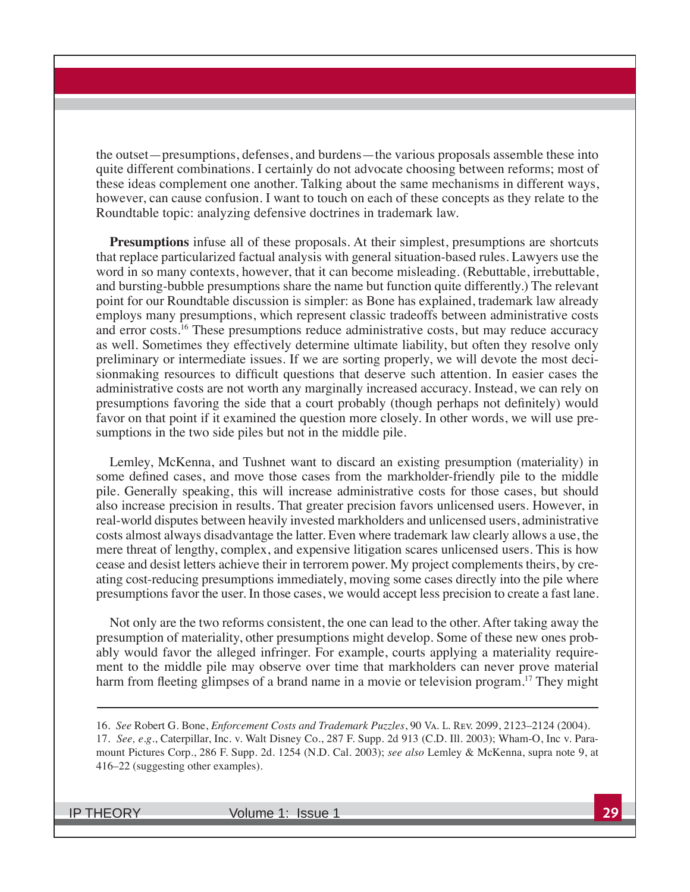the outset—presumptions, defenses, and burdens—the various proposals assemble these into quite different combinations. I certainly do not advocate choosing between reforms; most of these ideas complement one another. Talking about the same mechanisms in different ways, however, can cause confusion. I want to touch on each of these concepts as they relate to the Roundtable topic: analyzing defensive doctrines in trademark law.

**Presumptions** infuse all of these proposals. At their simplest, presumptions are shortcuts that replace particularized factual analysis with general situation-based rules. Lawyers use the word in so many contexts, however, that it can become misleading. (Rebuttable, irrebuttable, and bursting-bubble presumptions share the name but function quite differently.) The relevant point for our Roundtable discussion is simpler: as Bone has explained, trademark law already employs many presumptions, which represent classic tradeoffs between administrative costs and error costs.<sup>16</sup> These presumptions reduce administrative costs, but may reduce accuracy as well. Sometimes they effectively determine ultimate liability, but often they resolve only preliminary or intermediate issues. If we are sorting properly, we will devote the most decisionmaking resources to difficult questions that deserve such attention. In easier cases the administrative costs are not worth any marginally increased accuracy. Instead, we can rely on presumptions favoring the side that a court probably (though perhaps not definitely) would favor on that point if it examined the question more closely. In other words, we will use presumptions in the two side piles but not in the middle pile.

Lemley, McKenna, and Tushnet want to discard an existing presumption (materiality) in some defined cases, and move those cases from the markholder-friendly pile to the middle pile. Generally speaking, this will increase administrative costs for those cases, but should also increase precision in results. That greater precision favors unlicensed users. However, in real-world disputes between heavily invested markholders and unlicensed users, administrative costs almost always disadvantage the latter. Even where trademark law clearly allows a use, the mere threat of lengthy, complex, and expensive litigation scares unlicensed users. This is how cease and desist letters achieve their in terrorem power. My project complements theirs, by creating cost-reducing presumptions immediately, moving some cases directly into the pile where presumptions favor the user. In those cases, we would accept less precision to create a fast lane.

Not only are the two reforms consistent, the one can lead to the other. After taking away the presumption of materiality, other presumptions might develop. Some of these new ones probably would favor the alleged infringer. For example, courts applying a materiality requirement to the middle pile may observe over time that markholders can never prove material harm from fleeting glimpses of a brand name in a movie or television program.<sup>17</sup> They might

<sup>16.</sup> See Robert G. Bone, *Enforcement Costs and Trademark Puzzles*, 90 Va. L. Rev. 2099, 2123–2124 (2004). 17. *See, e.g*., Caterpillar, Inc. v. Walt Disney Co., 287 F. Supp. 2d 913 (C.D. Ill. 2003); Wham-O, Inc v. Paramount Pictures Corp., 286 F. Supp. 2d. 1254 (N.D. Cal. 2003); see also Lemley & McKenna, supra note 9, at 416–22 (suggesting other examples).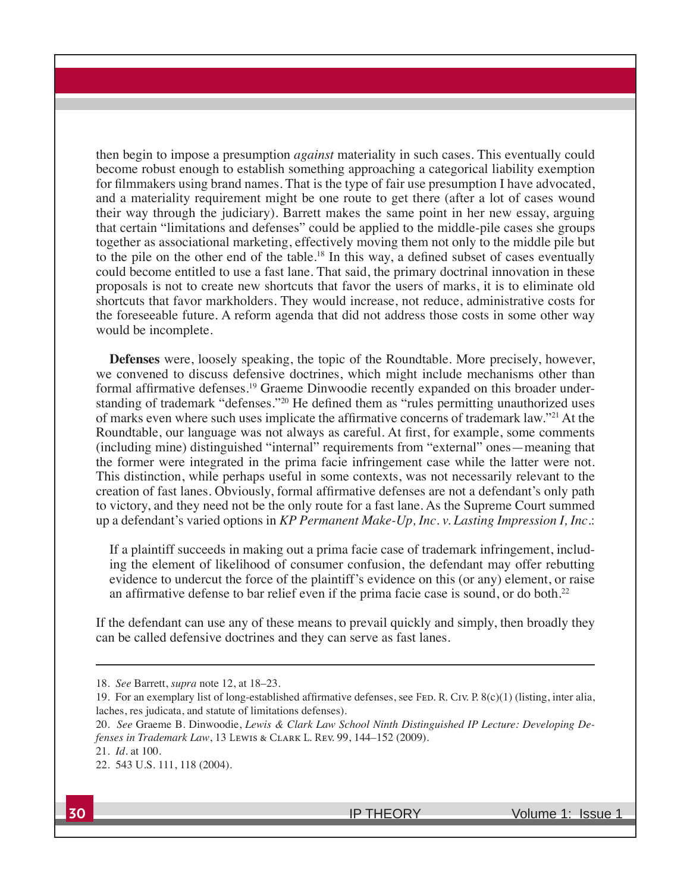then begin to impose a presumption *against* materiality in such cases. This eventually could become robust enough to establish something approaching a categorical liability exemption for filmmakers using brand names. That is the type of fair use presumption I have advocated, and a materiality requirement might be one route to get there (after a lot of cases wound their way through the judiciary). Barrett makes the same point in her new essay, arguing that certain "limitations and defenses" could be applied to the middle-pile cases she groups together as associational marketing, effectively moving them not only to the middle pile but to the pile on the other end of the table.<sup>18</sup> In this way, a defined subset of cases eventually could become entitled to use a fast lane. That said, the primary doctrinal innovation in these proposals is not to create new shortcuts that favor the users of marks, it is to eliminate old shortcuts that favor markholders. They would increase, not reduce, administrative costs for the foreseeable future. A reform agenda that did not address those costs in some other way would be incomplete.

**Defenses** were, loosely speaking, the topic of the Roundtable. More precisely, however, we convened to discuss defensive doctrines, which might include mechanisms other than formal affirmative defenses.<sup>19</sup> Graeme Dinwoodie recently expanded on this broader understanding of trademark "defenses."<sup>20</sup> He defined them as "rules permitting unauthorized uses of marks even where such uses implicate the affirmative concerns of trademark law."<sup>21</sup> At the Roundtable, our language was not always as careful. At first, for example, some comments (including mine) distinguished "internal" requirements from "external" ones—meaning that the former were integrated in the prima facie infringement case while the latter were not. This distinction, while perhaps useful in some contexts, was not necessarily relevant to the creation of fast lanes. Obviously, formal affirmative defenses are not a defendant's only path to victory, and they need not be the only route for a fast lane. As the Supreme Court summed up a defendant's varied options in *KP Permanent Make-Up, Inc.v. Lasting Impression I, Inc.:* 

If a plaintiff succeeds in making out a prima facie case of trademark infringement, including the element of likelihood of consumer confusion, the defendant may offer rebutting evidence to undercut the force of the plaintiff's evidence on this (or any) element, or raise an affirmative defense to bar relief even if the prima facie case is sound, or do both.<sup>22</sup>

If the defendant can use any of these means to prevail quickly and simply, then broadly they can be called defensive doctrines and they can serve as fast lanes.

<sup>18.</sup> *See* Barrett, *supra* note 12, at 18–23.

<sup>19.</sup> For an exemplary list of long-established affirmative defenses, see FED. R. Civ. P. 8(c)(1) (listing, inter alia, laches, res judicata, and statute of limitations defenses).

<sup>20.</sup> See Graeme B. Dinwoodie, Lewis & Clark Law School Ninth Distinguished IP Lecture: Developing De-*Jenses in Trademark Law*, 13 Lewis & CLARK L. Rev. 99, 144–152 (2009).

<sup>21.</sup> *Id*. at 100.

<sup>22. 543</sup> U.S. 111, 118 (2004).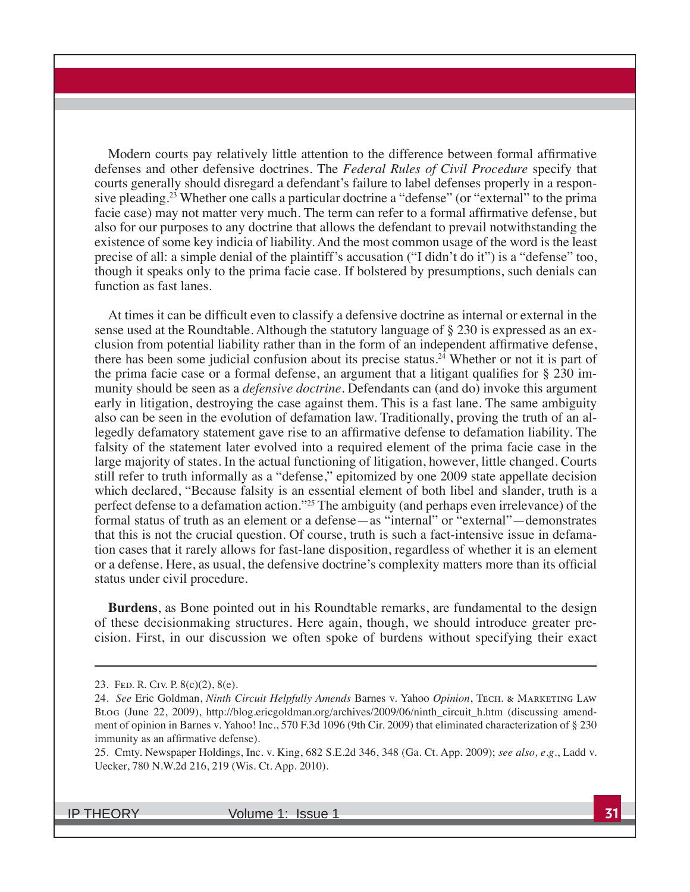Modern courts pay relatively little attention to the difference between formal affirmative defenses and other defensive doctrines. The *Federal Rules of Civil Procedure* specify that courts generally should disregard a defendant's failure to label defenses properly in a responsive pleading.23 Whether one calls a particular doctrine a "defense" (or "external" to the prima facie case) may not matter very much. The term can refer to a formal affirmative defense, but also for our purposes to any doctrine that allows the defendant to prevail notwithstanding the existence of some key indicia of liability. And the most common usage of the word is the least precise of all: a simple denial of the plaintiff's accusation ("I didn't do it") is a "defense" too, though it speaks only to the prima facie case. If bolstered by presumptions, such denials can function as fast lanes.

At times it can be difficult even to classify a defensive doctrine as internal or external in the sense used at the Roundtable. Although the statutory language of § 230 is expressed as an exclusion from potential liability rather than in the form of an independent affirmative defense, there has been some judicial confusion about its precise status.<sup>24</sup> Whether or not it is part of the prima facie case or a formal defense, an argument that a litigant qualifies for  $\S 230$  immunity should be seen as a *defensive doctrine*. Defendants can (and do) invoke this argument early in litigation, destroying the case against them. This is a fast lane. The same ambiguity also can be seen in the evolution of defamation law. Traditionally, proving the truth of an allegedly defamatory statement gave rise to an affirmative defense to defamation liability. The falsity of the statement later evolved into a required element of the prima facie case in the large majority of states. In the actual functioning of litigation, however, little changed. Courts still refer to truth informally as a "defense," epitomized by one 2009 state appellate decision which declared, "Because falsity is an essential element of both libel and slander, truth is a perfect defense to a defamation action."25 The ambiguity (and perhaps even irrelevance) of the formal status of truth as an element or a defense—as "internal" or "external"—demonstrates that this is not the crucial question. Of course, truth is such a fact-intensive issue in defamation cases that it rarely allows for fast-lane disposition, regardless of whether it is an element or a defense. Here, as usual, the defensive doctrine's complexity matters more than its official status under civil procedure.

**Burdens**, as Bone pointed out in his Roundtable remarks, are fundamental to the design of these decisionmaking structures. Here again, though, we should introduce greater precision. First, in our discussion we often spoke of burdens without specifying their exact

<sup>23.</sup> Fed. R. Civ. P. 8(c)(2), 8(e).

<sup>24.</sup> *See* Eric Goldman, *Ninth Circuit Helpfully Amends* Barnes v. Yahoo *Opinion*, Tech. & MARKETING LAW Blog (June 22, 2009), http://blog.ericgoldman.org/archives/2009/06/ninth\_circuit\_h.htm (discussing amendment of opinion in Barnes v. Yahoo! Inc., 570 F.3d 1096 (9th Cir. 2009) that eliminated characterization of § 230 immunity as an affirmative defense).

<sup>25.</sup> Cmty. Newspaper Holdings, Inc. v. King, 682 S.E.2d 346, 348 (Ga. Ct. App. 2009); *see also, e.g.*, Ladd v. Uecker, 780 N.W.2d 216, 219 (Wis. Ct. App. 2010).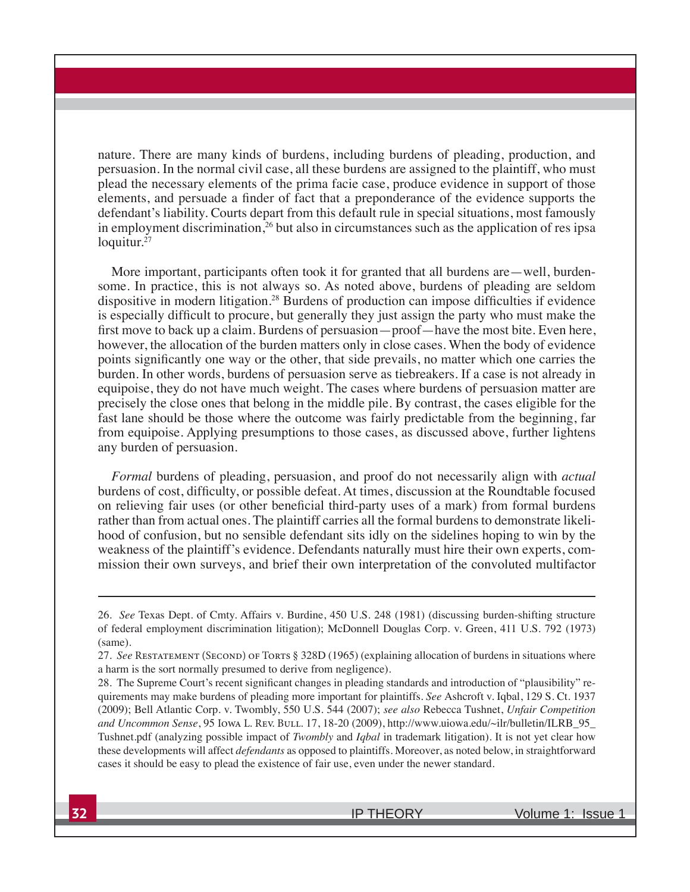nature. There are many kinds of burdens, including burdens of pleading, production, and persuasion. In the normal civil case, all these burdens are assigned to the plaintiff, who must plead the necessary elements of the prima facie case, produce evidence in support of those elements, and persuade a finder of fact that a preponderance of the evidence supports the defendant's liability. Courts depart from this default rule in special situations, most famously in employment discrimination,<sup>26</sup> but also in circumstances such as the application of res ipsa loquitur.<sup>27</sup>

More important, participants often took it for granted that all burdens are—well, burdensome. In practice, this is not always so. As noted above, burdens of pleading are seldom dispositive in modern litigation.<sup>28</sup> Burdens of production can impose difficulties if evidence is especially difficult to procure, but generally they just assign the party who must make the first move to back up a claim. Burdens of persuasion—proof—have the most bite. Even here, however, the allocation of the burden matters only in close cases. When the body of evidence points significantly one way or the other, that side prevails, no matter which one carries the burden. In other words, burdens of persuasion serve as tiebreakers. If a case is not already in equipoise, they do not have much weight. The cases where burdens of persuasion matter are precisely the close ones that belong in the middle pile. By contrast, the cases eligible for the fast lane should be those where the outcome was fairly predictable from the beginning, far from equipoise. Applying presumptions to those cases, as discussed above, further lightens any burden of persuasion.

*Formal* burdens of pleading, persuasion, and proof do not necessarily align with *actual* burdens of cost, difficulty, or possible defeat. At times, discussion at the Roundtable focused on relieving fair uses (or other beneficial third-party uses of a mark) from formal burdens rather than from actual ones. The plaintiff carries all the formal burdens to demonstrate likelihood of confusion, but no sensible defendant sits idly on the sidelines hoping to win by the weakness of the plaintiff's evidence. Defendants naturally must hire their own experts, commission their own surveys, and brief their own interpretation of the convoluted multifactor

<sup>26.</sup> *See* Texas Dept. of Cmty. Affairs v. Burdine, 450 U.S. 248 (1981) (discussing burden-shifting structure of federal employment discrimination litigation); McDonnell Douglas Corp. v. Green, 411 U.S. 792 (1973) (same).

<sup>27.</sup> *See* Restatement (Second) of Torts § 328D (1965) (explaining allocation of burdens in situations where a harm is the sort normally presumed to derive from negligence).

<sup>28.</sup> The Supreme Court's recent significant changes in pleading standards and introduction of "plausibility" requirements may make burdens of pleading more important for plaintiffs. *See* Ashcroft v. Iqbal, 129 S. Ct. 1937 (2009); Bell Atlantic Corp. v. Twombly, 550 U.S. 544 (2007); see also Rebecca Tushnet, *Unfair Competition* and Uncommon Sense, 95 Iowa L. Rev. Bull. 17, 18-20 (2009), http://www.uiowa.edu/~ilr/bulletin/ILRB\_95\_ Tushnet.pdf (analyzing possible impact of *Twombly* and *Iqbal* in trademark litigation). It is not yet clear how these developments will affect *defendants* as opposed to plaintiffs. Moreover, as noted below, in straightforward cases it should be easy to plead the existence of fair use, even under the newer standard.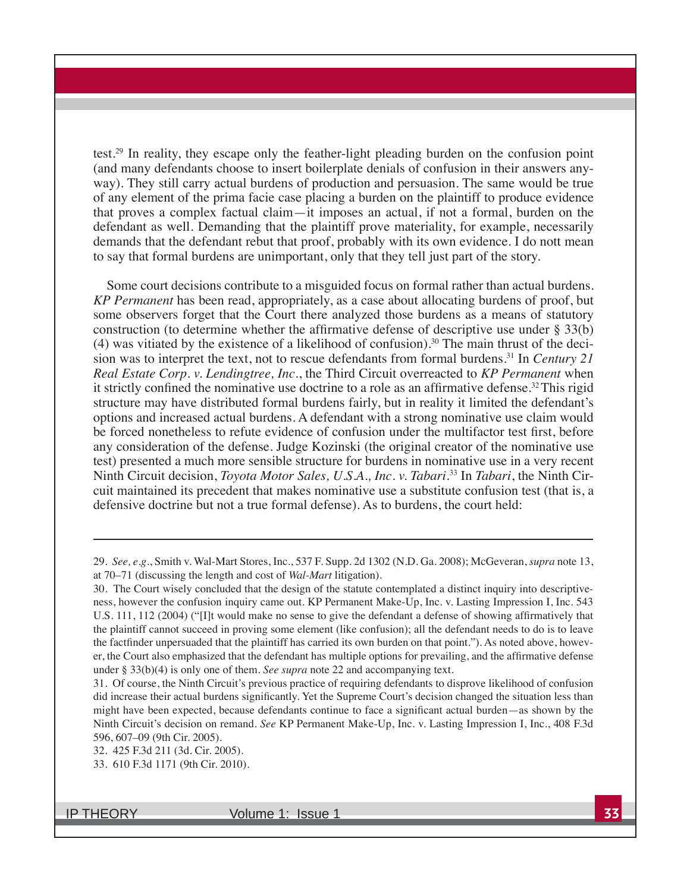test.29 In reality, they escape only the feather-light pleading burden on the confusion point (and many defendants choose to insert boilerplate denials of confusion in their answers anyway). They still carry actual burdens of production and persuasion. The same would be true of any element of the prima facie case placing a burden on the plaintiff to produce evidence that proves a complex factual claim—it imposes an actual, if not a formal, burden on the defendant as well. Demanding that the plaintiff prove materiality, for example, necessarily demands that the defendant rebut that proof, probably with its own evidence. I do nott mean to say that formal burdens are unimportant, only that they tell just part of the story.

Some court decisions contribute to a misguided focus on formal rather than actual burdens. *KP Permanent* has been read, appropriately, as a case about allocating burdens of proof, but some observers forget that the Court there analyzed those burdens as a means of statutory construction (to determine whether the affirmative defense of descriptive use under  $\S 33(b)$ (4) was vitiated by the existence of a likelihood of confusion).<sup>30</sup> The main thrust of the decision was to interpret the text, not to rescue defendants from formal burdens.<sup>31</sup> In *Century* 21 *Real Estate Corp. v. Lendingtree, Inc., the Third Circuit overreacted to <i>KP Permanent* when it strictly confined the nominative use doctrine to a role as an affirmative defense.<sup>32</sup> This rigid structure may have distributed formal burdens fairly, but in reality it limited the defendant's options and increased actual burdens. A defendant with a strong nominative use claim would be forced nonetheless to refute evidence of confusion under the multifactor test first, before any consideration of the defense. Judge Kozinski (the original creator of the nominative use test) presented a much more sensible structure for burdens in nominative use in a very recent Ninth Circuit decision, *Toyota Motor Sales, U.S.A., Inc. v. Tabari*.<sup>33</sup> In *Tabari*, the Ninth Circuit maintained its precedent that makes nominative use a substitute confusion test (that is, a defensive doctrine but not a true formal defense). As to burdens, the court held:

<sup>29.</sup> *See, e.g.*, Smith v. Wal-Mart Stores, Inc., 537 F. Supp. 2d 1302 (N.D. Ga. 2008); McGeveran, *supra* note 13, at 70–71 (discussing the length and cost of *Wal-Mart* litigation).

<sup>30.</sup> The Court wisely concluded that the design of the statute contemplated a distinct inquiry into descriptiveness, however the confusion inquiry came out. KP Permanent Make-Up, Inc. v. Lasting Impression I, Inc. 543 U.S. 111, 112 (2004) ("IIt would make no sense to give the defendant a defense of showing affirmatively that the plaintiff cannot succeed in proving some element (like confusion); all the defendant needs to do is to leave the factfinder unpersuaded that the plaintiff has carried its own burden on that point."). As noted above, however, the Court also emphasized that the defendant has multiple options for prevailing, and the affirmative defense under § 33(b)(4) is only one of them. *See supra* note 22 and accompanying text.

<sup>31.</sup> Of course, the Ninth Circuit's previous practice of requiring defendants to disprove likelihood of confusion did increase their actual burdens significantly. Yet the Supreme Court's decision changed the situation less than might have been expected, because defendants continue to face a significant actual burden—as shown by the Ninth Circuit's decision on remand. *See* KP Permanent Make-Up, Inc. v. Lasting Impression I, Inc., 408 F.3d 596, 607–09 (9th Cir. 2005).

<sup>32. 425</sup> F.3d 211 (3d. Cir. 2005).

<sup>33. 610</sup> F.3d 1171 (9th Cir. 2010).